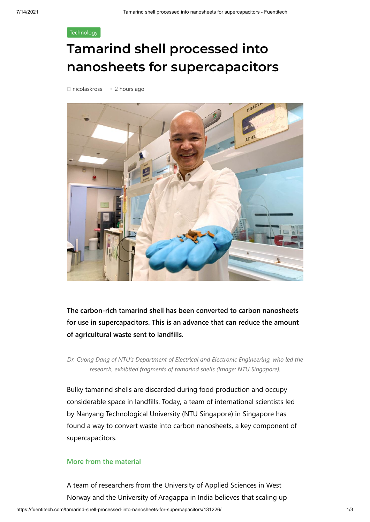## **[Technology](https://fuentitech.com/category/technology/)**

## **Tamarind shell processed into nanosheets for supercapacitors**



**The carbon-rich tamarind shell has been converted to carbon nanosheets for use in supercapacitors. This is an advance that can reduce the amount of agricultural waste sent to landfills.**

*Dr. Cuong Dang of NTU's Department of Electrical and Electronic Engineering, who led the research, exhibited fragments of tamarind shells (Image: NTU Singapore).*

Bulky tamarind shells are discarded during food production and occupy considerable space in landfills. Today, a team of international scientists led by Nanyang Technological University (NTU Singapore) in Singapore has found a way to convert waste into carbon nanosheets, a key component of supercapacitors.

## **[More from the material](https://www.theengineer.co.uk/materials/)**

A team of researchers from the University of Applied Sciences in West Norway and the University of Aragappa in India believes that scaling up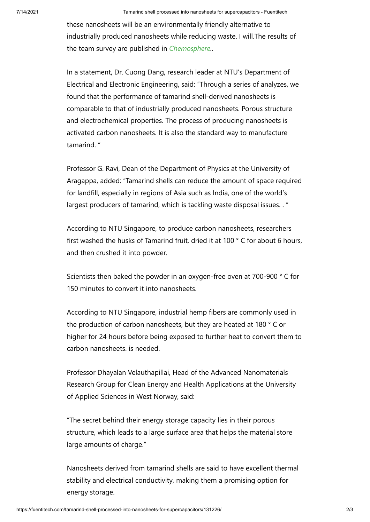these nanosheets will be an environmentally friendly alternative to industrially produced nanosheets while reducing waste. I will.The results of the team survey are published in *[Chemosphere.](https://www.sciencedirect.com/science/article/abs/pii/S0045653521015058?via%3Dihub).*

In a statement, Dr. Cuong Dang, research leader at NTU's Department of Electrical and Electronic Engineering, said: "Through a series of analyzes, we found that the performance of tamarind shell-derived nanosheets is comparable to that of industrially produced nanosheets. Porous structure and electrochemical properties. The process of producing nanosheets is activated carbon nanosheets. It is also the standard way to manufacture tamarind. "

Professor G. Ravi, Dean of the Department of Physics at the University of Aragappa, added: "Tamarind shells can reduce the amount of space required for landfill, especially in regions of Asia such as India, one of the world's largest producers of tamarind, which is tackling waste disposal issues. . "

According to NTU Singapore, to produce carbon nanosheets, researchers first washed the husks of Tamarind fruit, dried it at 100 ° C for about 6 hours, and then crushed it into powder.

Scientists then baked the powder in an oxygen-free oven at 700-900 ° C for 150 minutes to convert it into nanosheets.

According to NTU Singapore, industrial hemp fibers are commonly used in the production of carbon nanosheets, but they are heated at 180 ° C or higher for 24 hours before being exposed to further heat to convert them to carbon nanosheets. is needed.

Professor Dhayalan Velauthapillai, Head of the Advanced Nanomaterials Research Group for Clean Energy and Health Applications at the University of Applied Sciences in West Norway, said:

"The secret behind their energy storage capacity lies in their porous structure, which leads to a large surface area that helps the material store large amounts of charge."

Nanosheets derived from tamarind shells are said to have excellent thermal stability and electrical conductivity, making them a promising option for energy storage.